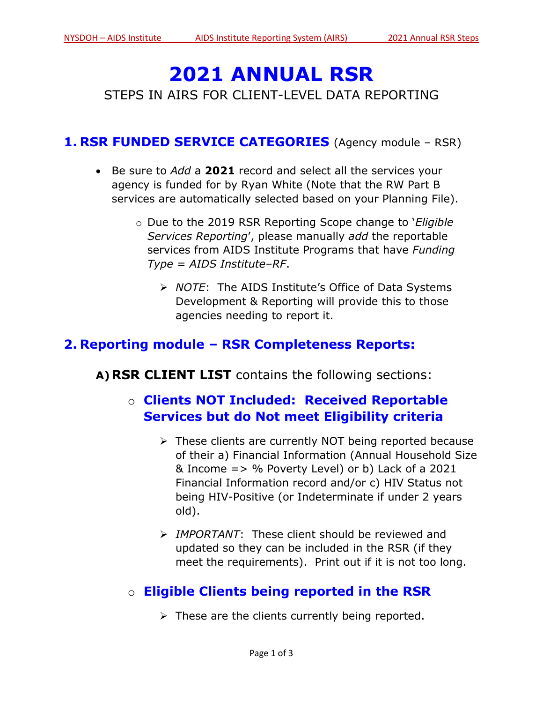# **2021 ANNUAL RSR**

STEPS IN AIRS FOR CLIENT-LEVEL DATA REPORTING

#### **1. RSR FUNDED SERVICE CATEGORIES** (Agency module – RSR)

- Be sure to *Add* a **2021** record and select all the services your agency is funded for by Ryan White (Note that the RW Part B services are automatically selected based on your Planning File).
	- o Due to the 2019 RSR Reporting Scope change to '*Eligible Services Reporting*', please manually *add* the reportable services from AIDS Institute Programs that have *Funding Type = AIDS Institute–RF*.
		- ➢ *NOTE*: The AIDS Institute's Office of Data Systems Development & Reporting will provide this to those agencies needing to report it.

### **2. Reporting module – RSR Completeness Reports:**

**A)RSR CLIENT LIST** contains the following sections:

# o **Clients NOT Included: Received Reportable Services but do Not meet Eligibility criteria**

- ➢ These clients are currently NOT being reported because of their a) Financial Information (Annual Household Size & Income => % Poverty Level) or b) Lack of a 2021 Financial Information record and/or c) HIV Status not being HIV-Positive (or Indeterminate if under 2 years old).
- ➢ *IMPORTANT*: These client should be reviewed and updated so they can be included in the RSR (if they meet the requirements). Print out if it is not too long.

# o **Eligible Clients being reported in the RSR**

➢ These are the clients currently being reported.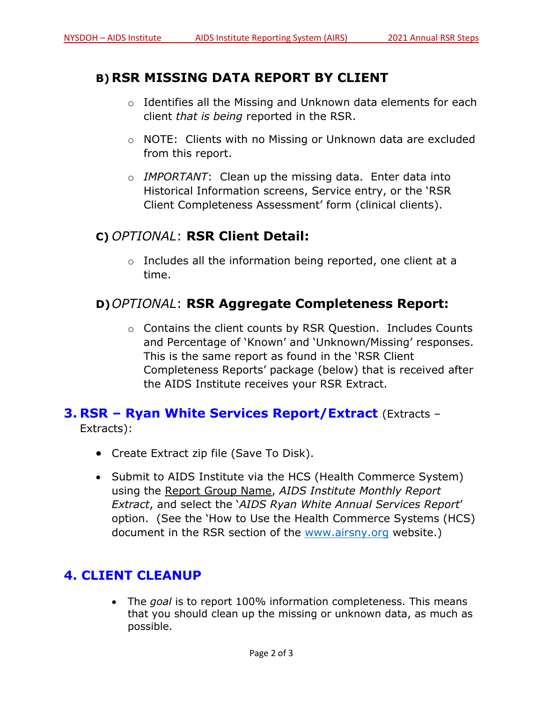#### **B) RSR MISSING DATA REPORT BY CLIENT**

- o Identifies all the Missing and Unknown data elements for each client *that is being* reported in the RSR.
- o NOTE: Clients with no Missing or Unknown data are excluded from this report.
- o *IMPORTANT*: Clean up the missing data. Enter data into Historical Information screens, Service entry, or the 'RSR Client Completeness Assessment' form (clinical clients).

#### **C)** *OPTIONAL*: **RSR Client Detail:**

o Includes all the information being reported, one client at a time.

#### **D)***OPTIONAL*: **RSR Aggregate Completeness Report:**

o Contains the client counts by RSR Question. Includes Counts and Percentage of 'Known' and 'Unknown/Missing' responses. This is the same report as found in the 'RSR Client Completeness Reports' package (below) that is received after the AIDS Institute receives your RSR Extract.

# **3. RSR – Ryan White Services Report/Extract** (Extracts –

Extracts):

- Create Extract zip file (Save To Disk).
- Submit to AIDS Institute via the HCS (Health Commerce System) using the Report Group Name, *AIDS Institute Monthly Report Extract*, and select the '*AIDS Ryan White Annual Services Report*' option. (See the 'How to Use the Health Commerce Systems (HCS) document in the RSR section of the [www.airsny.org](http://www.airsny.org/) website.)

#### **4. CLIENT CLEANUP**

• The *goal* is to report 100% information completeness. This means that you should clean up the missing or unknown data, as much as possible.